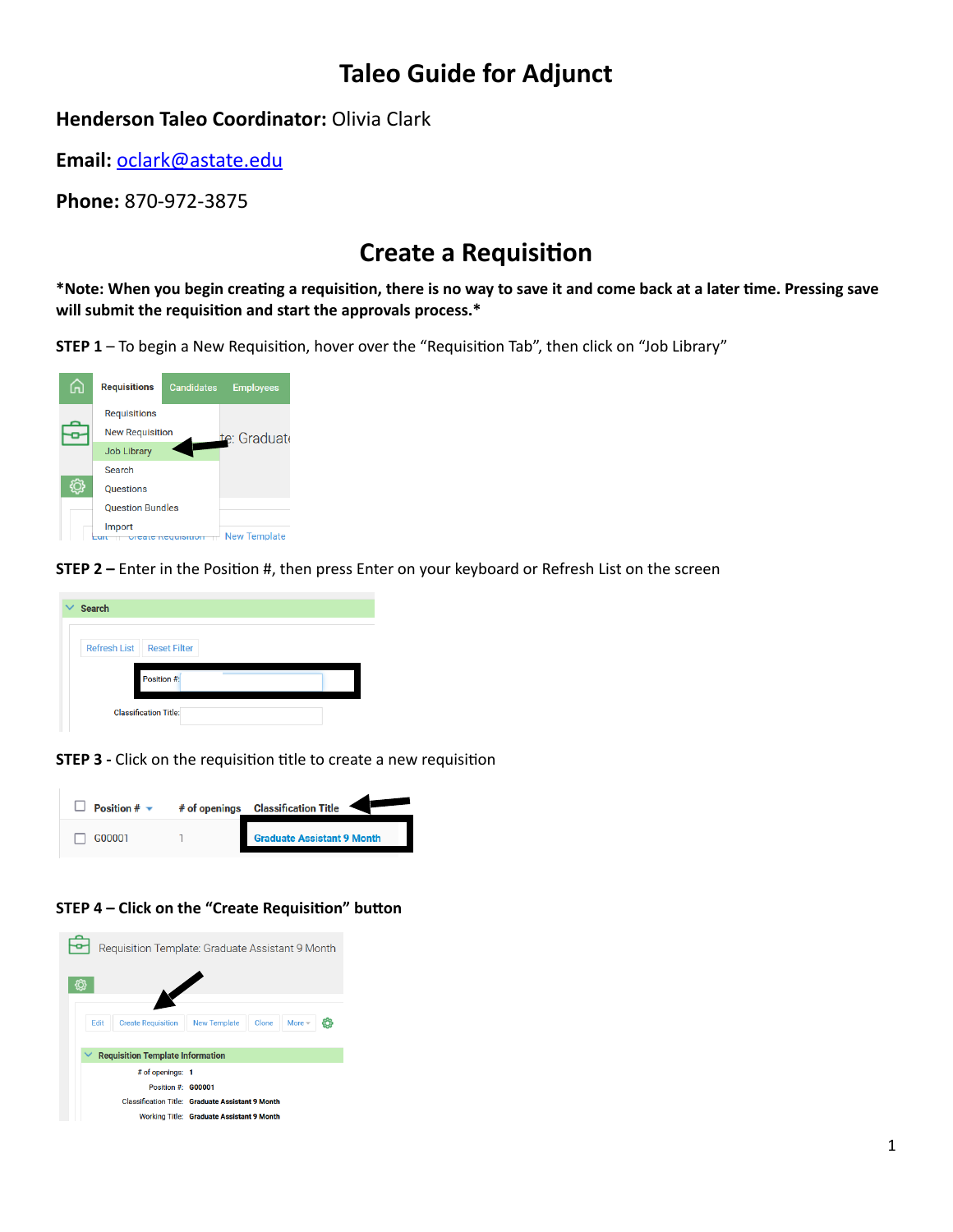# **Taleo Guide for Adjunct**

### **Henderson Taleo Coordinator: Olivia Clark**

**Email:** [oclark@astate.edu](mailto:oclark@astate.edu)

**Phone:** 870-972-3875

# **Create a Requisition**

\*Note: When you begin creating a requisition, there is no way to save it and come back at a later time. Pressing save will submit the requisition and start the approvals process.<sup>\*</sup>





**STEP 2** – Enter in the Position #, then press Enter on your keyboard or Refresh List on the screen



**STEP 3** - Click on the requisition title to create a new requisition



#### **STEP 4 - Click on the "Create Requisition" button**

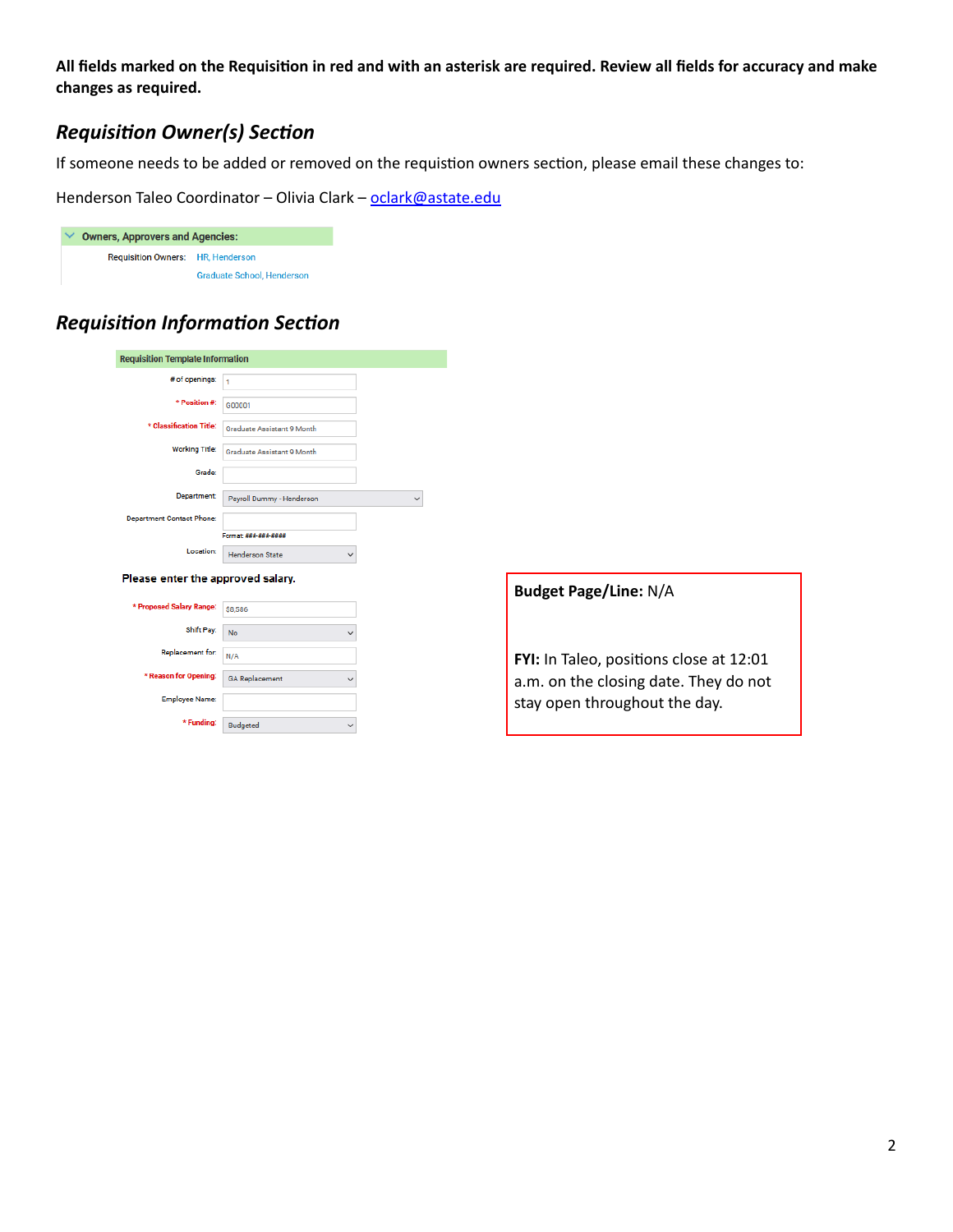All fields marked on the Requisition in red and with an asterisk are required. Review all fields for accuracy and make changes as required.

### *Requisition Owner(s) Section*

If someone needs to be added or removed on the requistion owners section, please email these changes to:

Henderson Taleo Coordinator - Olivia Clark - oclark@astate.edu

| $\checkmark$ | <b>Owners, Approvers and Agencies:</b>   |                                   |  |  |  |  |  |
|--------------|------------------------------------------|-----------------------------------|--|--|--|--|--|
|              | <b>Requisition Owners: HR, Henderson</b> |                                   |  |  |  |  |  |
|              |                                          | <b>Graduate School, Henderson</b> |  |  |  |  |  |

## *Requisition Information Section*

| <b>Requisition Template Information</b> |                                        |  |  |  |  |  |  |
|-----------------------------------------|----------------------------------------|--|--|--|--|--|--|
| # of openings:                          | 1                                      |  |  |  |  |  |  |
| * Position #:                           | G00001                                 |  |  |  |  |  |  |
| * Classification Title:                 | <b>Graduate Assistant 9 Month</b>      |  |  |  |  |  |  |
| <b>Working Title:</b>                   | <b>Graduate Assistant 9 Month</b>      |  |  |  |  |  |  |
| Grade:                                  |                                        |  |  |  |  |  |  |
| Department:                             | Payroll Dummy - Henderson              |  |  |  |  |  |  |
| <b>Department Contact Phone:</b>        |                                        |  |  |  |  |  |  |
|                                         | Format: ###-###-####                   |  |  |  |  |  |  |
| Location:                               | <b>Henderson State</b><br>$\checkmark$ |  |  |  |  |  |  |
| Please enter the approved salary.       |                                        |  |  |  |  |  |  |
| * Proposed Salary Range:                | \$8,586                                |  |  |  |  |  |  |
| Shift Pay:                              | <b>No</b><br>v                         |  |  |  |  |  |  |
| Replacement for:                        | N/A                                    |  |  |  |  |  |  |
| * Reason for Opening:                   | <b>GA Replacement</b><br>$\checkmark$  |  |  |  |  |  |  |
| <b>Employee Name:</b>                   |                                        |  |  |  |  |  |  |
| * Funding:                              | <b>Budgeted</b><br>$\checkmark$        |  |  |  |  |  |  |

| <b>Budget Page/Line: N/A</b>                                                                                      |
|-------------------------------------------------------------------------------------------------------------------|
| FYI: In Taleo, positions close at 12:01<br>a.m. on the closing date. They do not<br>stay open throughout the day. |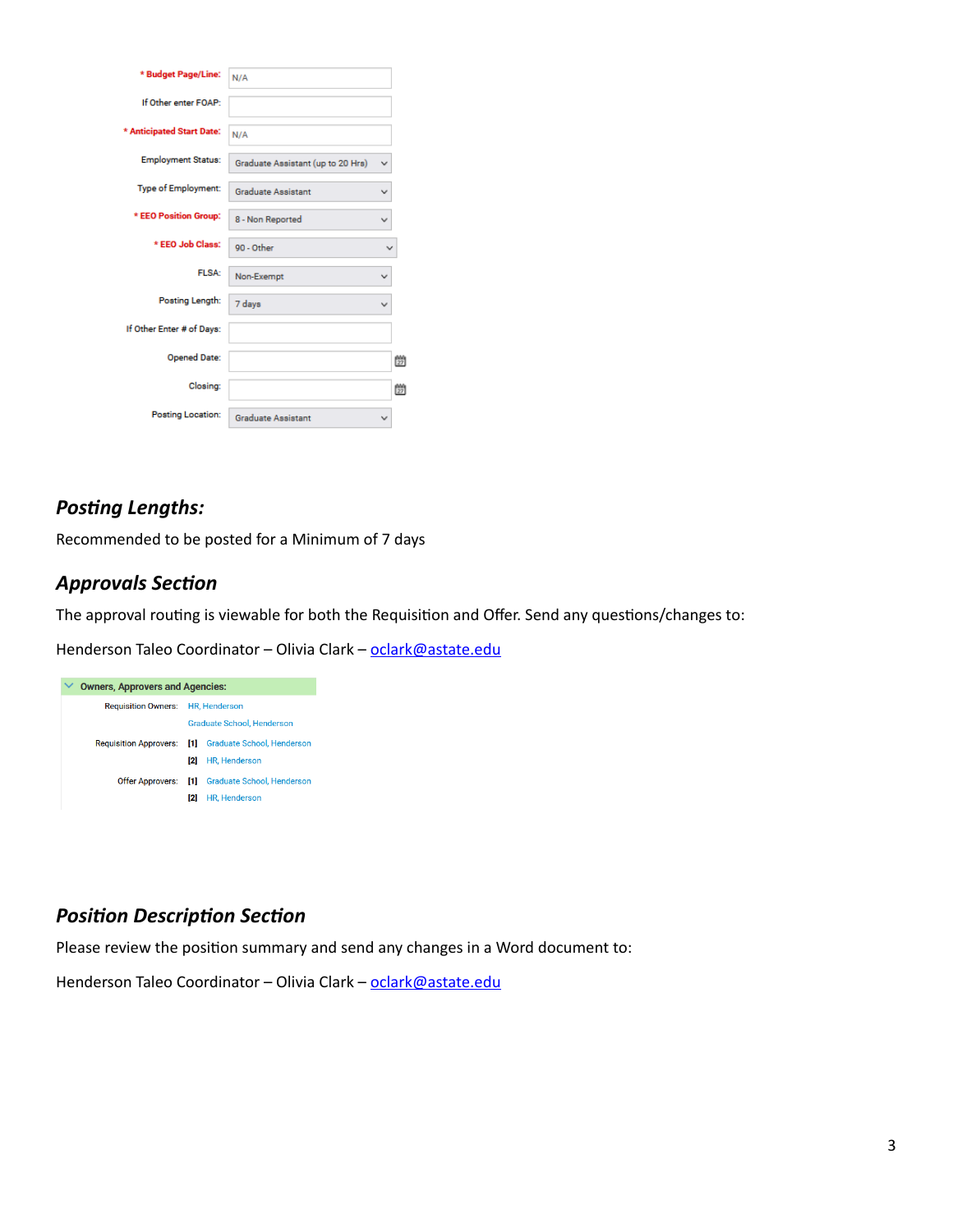| * Budget Page/Line:       | N/A                               |   |   |
|---------------------------|-----------------------------------|---|---|
| If Other enter FOAP:      |                                   |   |   |
| * Anticipated Start Date: | N/A                               |   |   |
| <b>Employment Status:</b> | Graduate Assistant (up to 20 Hrs) | v |   |
| Type of Employment:       | <b>Graduate Assistant</b>         | v |   |
| * EEO Position Group:     | 8 - Non Reported                  |   |   |
| * EEO Job Class:          | 90 - Other                        |   |   |
| FLSA:                     | Non-Exempt                        |   |   |
| Posting Length:           | 7 days                            | v |   |
| If Other Enter # of Days: |                                   |   |   |
| <b>Opened Date:</b>       |                                   |   | 朆 |
| Closing:                  |                                   |   | 朆 |
| <b>Posting Location:</b>  | <b>Graduate Assistant</b>         |   |   |

### **Posting Lengths:**

Recommended to be posted for a Minimum of 7 days

#### *Approvals Section*

The approval routing is viewable for both the Requisition and Offer. Send any questions/changes to:

Henderson Taleo Coordinator - Olivia Clark - oclark@astate.edu



### *Position Description Section*

Please review the position summary and send any changes in a Word document to:

Henderson Taleo Coordinator - Olivia Clark - oclark@astate.edu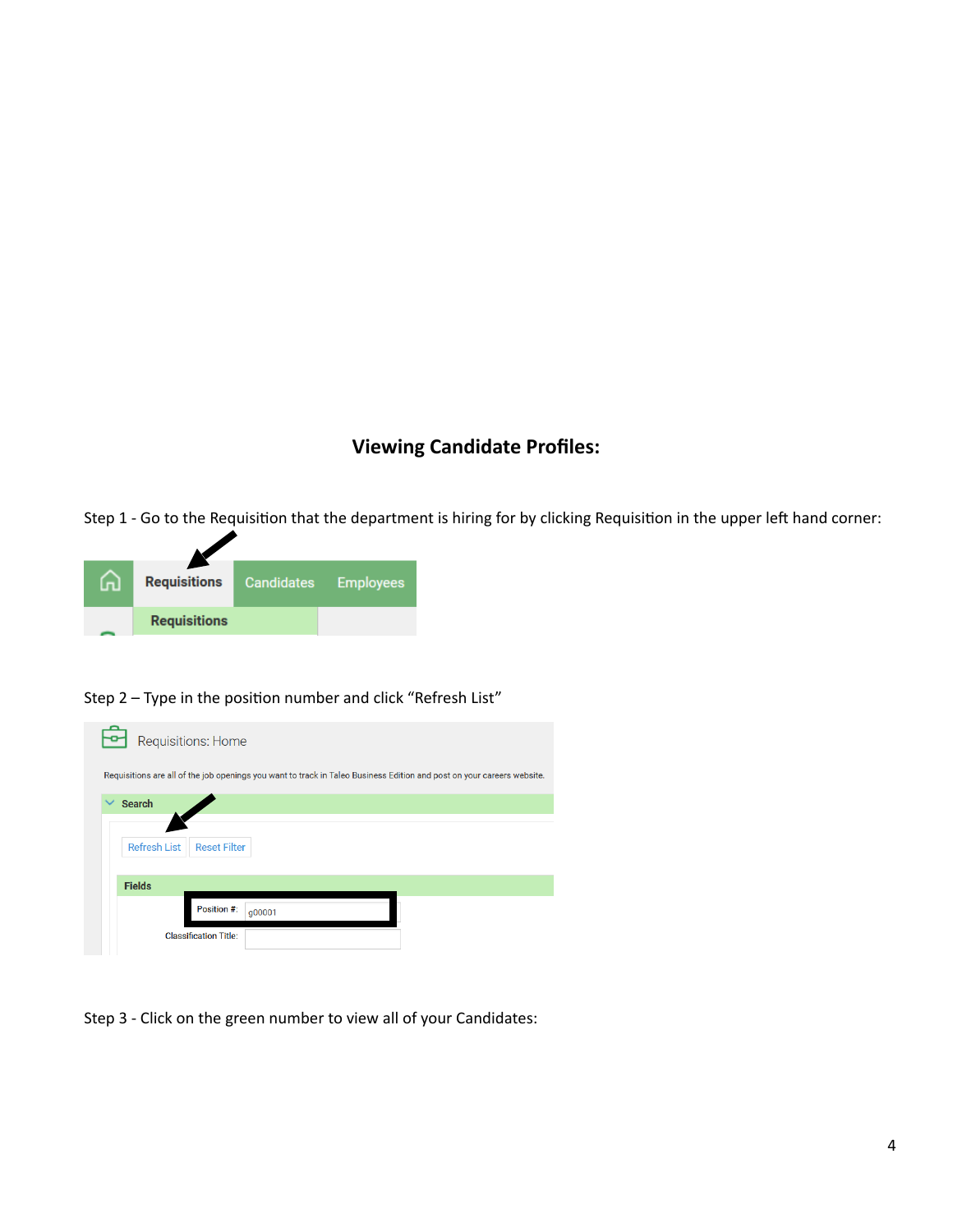### **Viewing Candidate Profiles:**

Step 1 - Go to the Requisition that the department is hiring for by clicking Requisition in the upper left hand corner:



Step 2 - Type in the position number and click "Refresh List"



Step 3 - Click on the green number to view all of your Candidates: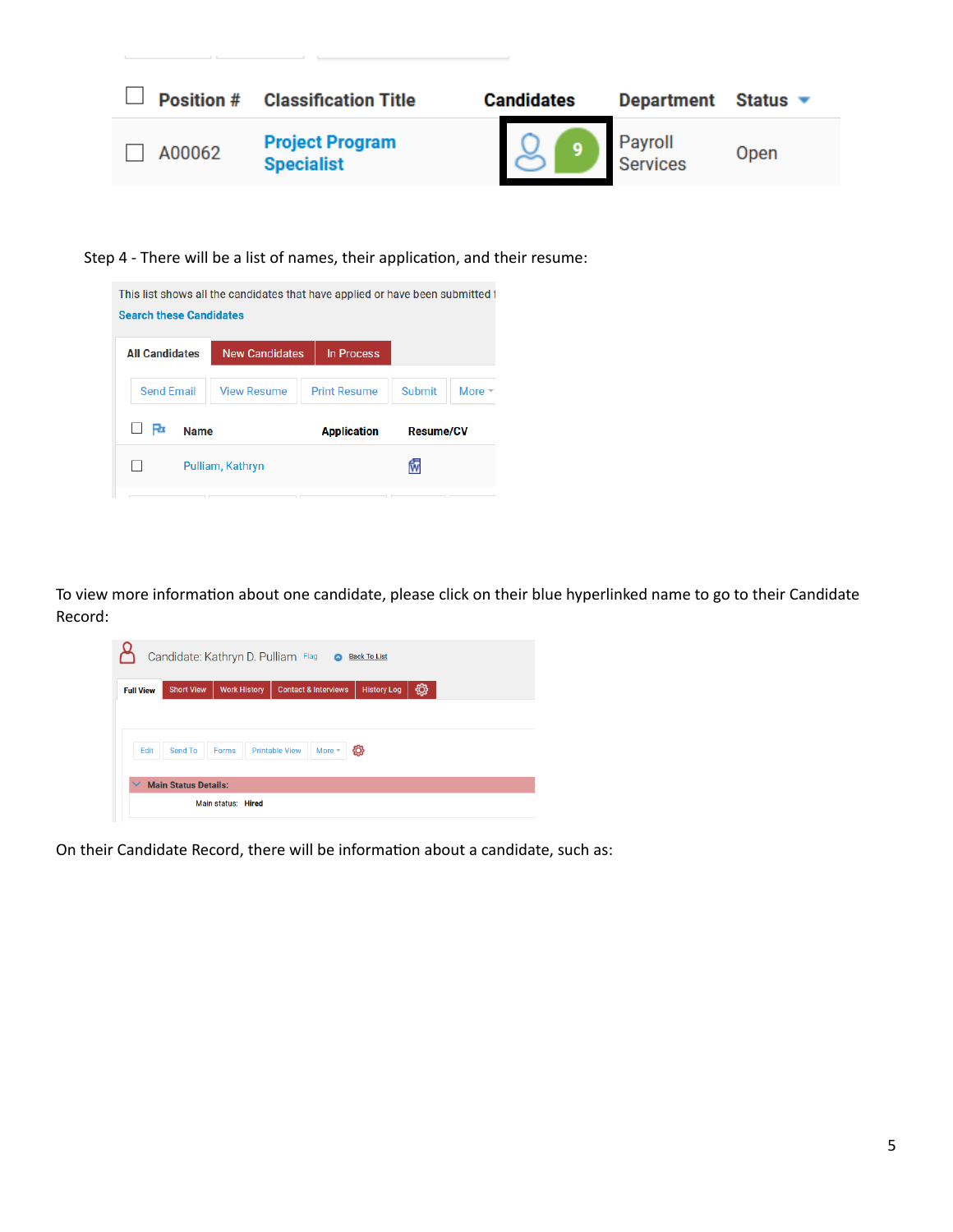

Step 4 - There will be a list of names, their application, and their resume:

| <b>Search these Candidates</b> | This list shows all the candidates that have applied or have been submitted to |                     |                  |               |
|--------------------------------|--------------------------------------------------------------------------------|---------------------|------------------|---------------|
| <b>All Candidates</b>          | <b>New Candidates</b>                                                          | In Process          |                  |               |
| <b>Send Email</b>              | <b>View Resume</b>                                                             | <b>Print Resume</b> | Submit           | More $\equiv$ |
| Ro                             | <b>Name</b>                                                                    | <b>Application</b>  | <b>Resume/CV</b> |               |
|                                | Pulliam, Kathryn                                                               |                     |                  |               |
|                                |                                                                                |                     |                  |               |

To view more information about one candidate, please click on their blue hyperlinked name to go to their Candidate Record:

|                  |                             |                     | Candidate: Kathryn D. Pulliam Flag | $\bullet$ | <b>Back To List</b> |    |  |
|------------------|-----------------------------|---------------------|------------------------------------|-----------|---------------------|----|--|
| <b>Full View</b> | <b>Short View</b>           | <b>Work History</b> | <b>Contact &amp; Interviews</b>    |           | <b>History Log</b>  | හූ |  |
|                  |                             |                     |                                    |           |                     |    |  |
|                  |                             |                     |                                    |           |                     |    |  |
|                  |                             |                     |                                    |           |                     |    |  |
| Edit             | Send To                     | Forms               | <b>Printable View</b>              | More $+$  | ශූ                  |    |  |
|                  |                             |                     |                                    |           |                     |    |  |
| $\checkmark$     | <b>Main Status Details:</b> |                     |                                    |           |                     |    |  |

On their Candidate Record, there will be information about a candidate, such as: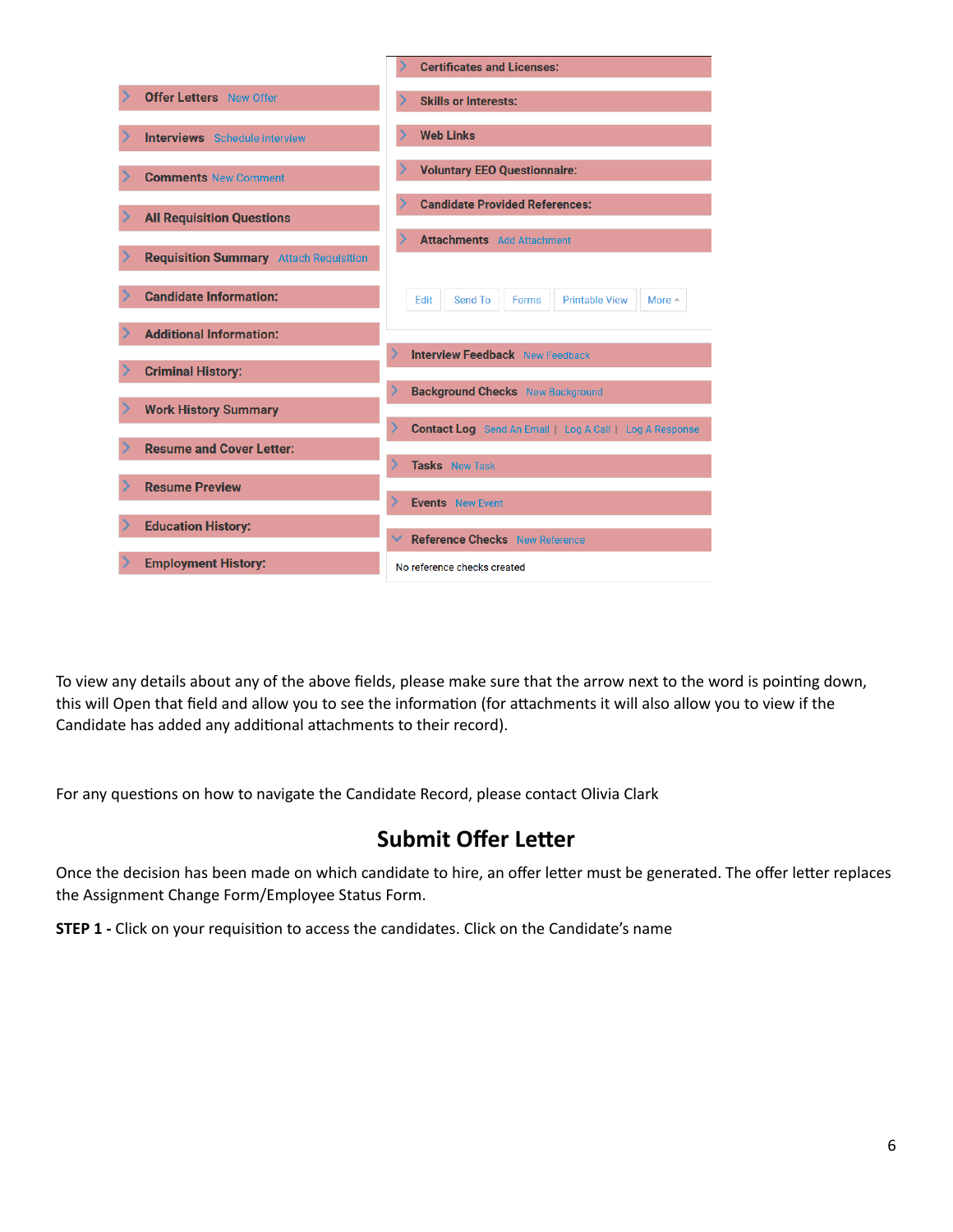

To view any details about any of the above fields, please make sure that the arrow next to the word is pointing down, this will Open that field and allow you to see the information (for attachments it will also allow you to view if the Candidate has added any additional attachments to their record).

For any questions on how to navigate the Candidate Record, please contact Olivia Clark

## **Submit Offer Letter**

Once the decision has been made on which candidate to hire, an offer letter must be generated. The offer letter replaces the Assignment Change Form/Employee Status Form.

**STEP 1** - Click on your requisition to access the candidates. Click on the Candidate's name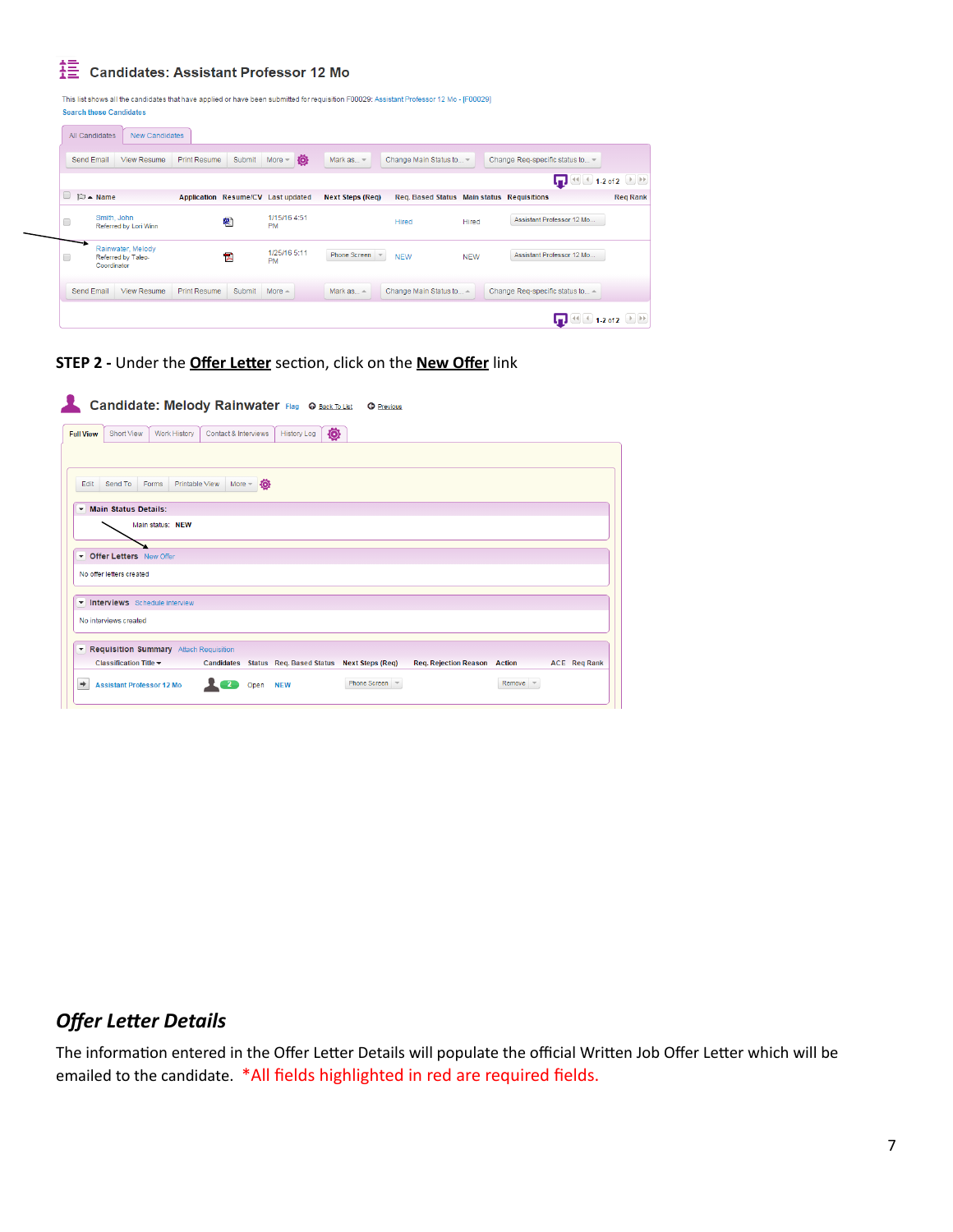Candidates: Assistant Professor 12 Mo

This list shows all the candidates that have applied or have been submitted for requisition F00029: Assistant Professor 12 Mo - [F00029] **Search these Candidates** 

| Send Email               | View Resume                             | Print Resume        | <b>Submit</b> | 杏<br>$More -$                      | Mark as $=$             | Change Main Status to -                           |            | Change Req-specific status to -      |                 |
|--------------------------|-----------------------------------------|---------------------|---------------|------------------------------------|-------------------------|---------------------------------------------------|------------|--------------------------------------|-----------------|
|                          |                                         |                     |               |                                    |                         |                                                   |            | $\Box$ $\Box$ $\Box$ 1-2 of 2 $\Box$ |                 |
| $\mathbb{D}$ $\sim$ Name |                                         |                     |               | Application Resume/CV Last updated | <b>Next Steps (Req)</b> | <b>Reg. Based Status Main status Requisitions</b> |            |                                      | <b>Req Rank</b> |
|                          | Smith, John<br>Referred by Lori Winn    |                     | ⋑             | 1/15/16 4:51<br><b>PM</b>          |                         | Hired                                             | Hired      | Assistant Professor 12 Mo            |                 |
| Coordinator              | Rainwater, Melody<br>Referred by Taleo- |                     | 慏             | 1/25/16 5:11<br><b>PM</b>          | Phone Screen            | <b>NEW</b>                                        | <b>NEW</b> | Assistant Professor 12 Mo            |                 |
| Send Email               | <b>View Resume</b>                      | <b>Print Resume</b> | Submit        | More $-$                           | Mark $as$               | Change Main Status to $\triangle$                 |            | Change Reg-specific status to -      |                 |

**STEP 2** - Under the **Offer Letter** section, click on the **New Offer** link

| <b>Full View</b> | Short View                    | Work History                           | Contact & Interviews |    | ۰<br><b>History Log</b> |  |  |  |
|------------------|-------------------------------|----------------------------------------|----------------------|----|-------------------------|--|--|--|
| Edit             | Send To                       | Printable View<br>Forms                | $More -$             | Юŀ |                         |  |  |  |
|                  | Main Status Details:          |                                        |                      |    |                         |  |  |  |
|                  |                               | Main status: NEW                       |                      |    |                         |  |  |  |
|                  |                               |                                        |                      |    |                         |  |  |  |
|                  | Defer Letters New Offer       |                                        |                      |    |                         |  |  |  |
|                  |                               |                                        |                      |    |                         |  |  |  |
|                  | No offer letters created      |                                        |                      |    |                         |  |  |  |
|                  |                               |                                        |                      |    |                         |  |  |  |
|                  | Interviews Schedule interview |                                        |                      |    |                         |  |  |  |
|                  | No interviews created         |                                        |                      |    |                         |  |  |  |
|                  |                               |                                        |                      |    |                         |  |  |  |
|                  |                               | Requisition Summary Attach Requisition |                      |    |                         |  |  |  |

## *Offer Letter Details*

The information entered in the Offer Letter Details will populate the official Written Job Offer Letter which will be emailed to the candidate. \*All fields highlighted in red are required fields.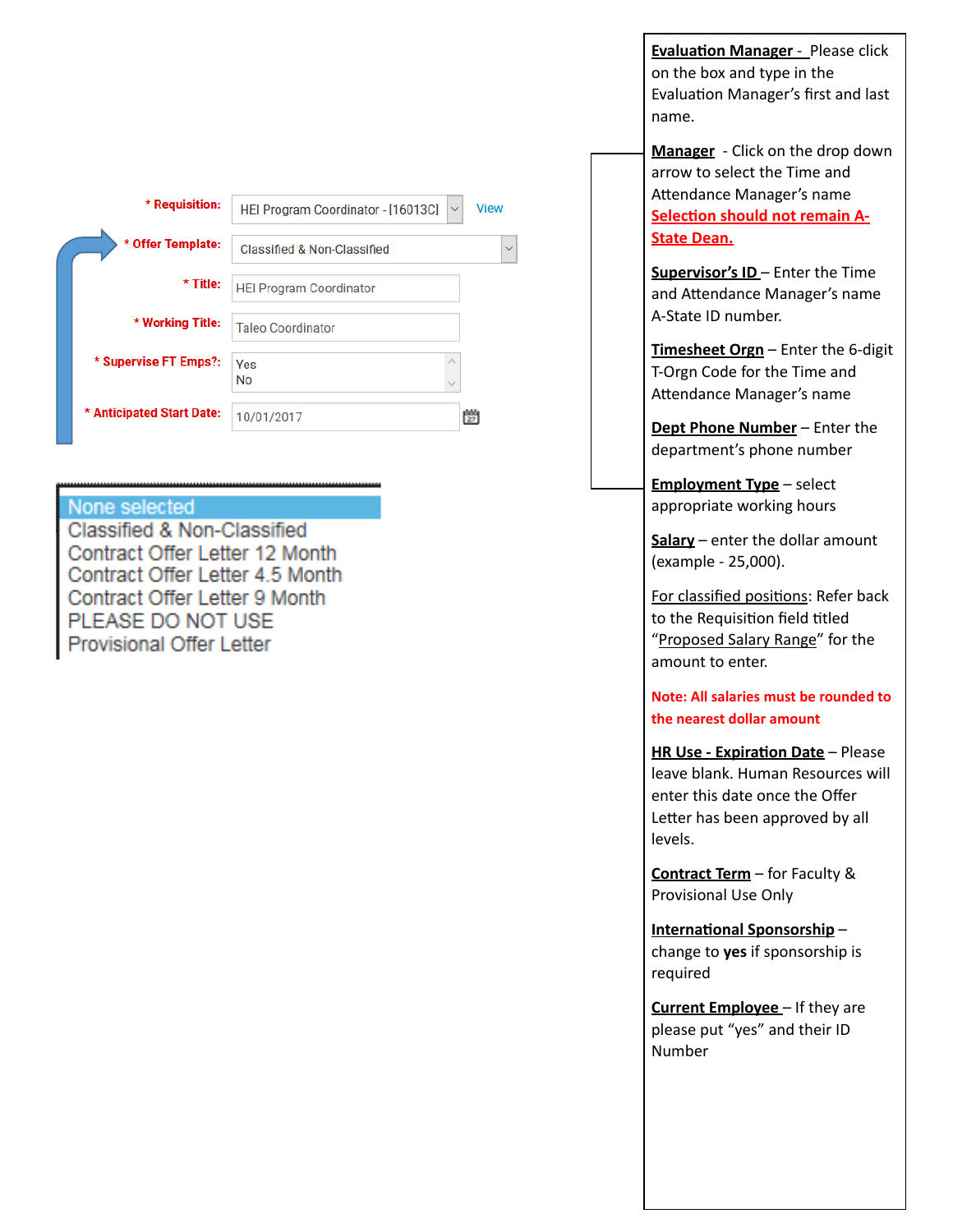| * Requisition:            | HEI Program Coordinator - [16013C]<br>$\vee$ | <b>View</b> |        |
|---------------------------|----------------------------------------------|-------------|--------|
| * Offer Template:         | Classified & Non-Classified                  |             | $\vee$ |
| * Title:                  | <b>HEI Program Coordinator</b>               |             |        |
| * Working Title:          | <b>Taleo Coordinator</b>                     |             |        |
| * Supervise FT Emps?:     | ́<br>Yes<br><b>No</b>                        |             |        |
| * Anticipated Start Date: | 10/01/2017                                   | 鬱           |        |

#### None selected

Classified & Non-Classified Contract Offer Letter 12 Month Contract Offer Letter 4.5 Month Contract Offer Letter 9 Month PLEASE DO NOT USE Provisional Offer Letter

**Evaluation Manager** - Please click on the box and type in the Evaluation Manager's first and last name.

**Manager** - Click on the drop down arrow to select the Time and Attendance Manager's name **Selection should not remain A-State Dean.** 

**Supervisor's ID** – Enter the Time and Attendance Manager's name A-State ID number.

**Timesheet Orgn** – Enter the 6-digit T-Orgn Code for the Time and Attendance Manager's name

**Dept Phone Number** – Enter the department's phone number

**Employment Type** – select appropriate working hours

**Salary** – enter the dollar amount (example - 25,000). 

For classified positions: Refer back to the Requisition field titled "Proposed Salary Range" for the amount to enter.

**Note: All salaries must be rounded to** the nearest dollar amount

**HR Use - Expiration Date** – Please leave blank. Human Resources will enter this date once the Offer Letter has been approved by all levels.

**Contract Term** – for Faculty & Provisional Use Only

**International Sponsorship** change to **yes** if sponsorship is required

**Current Employee** – If they are please put "yes" and their ID Number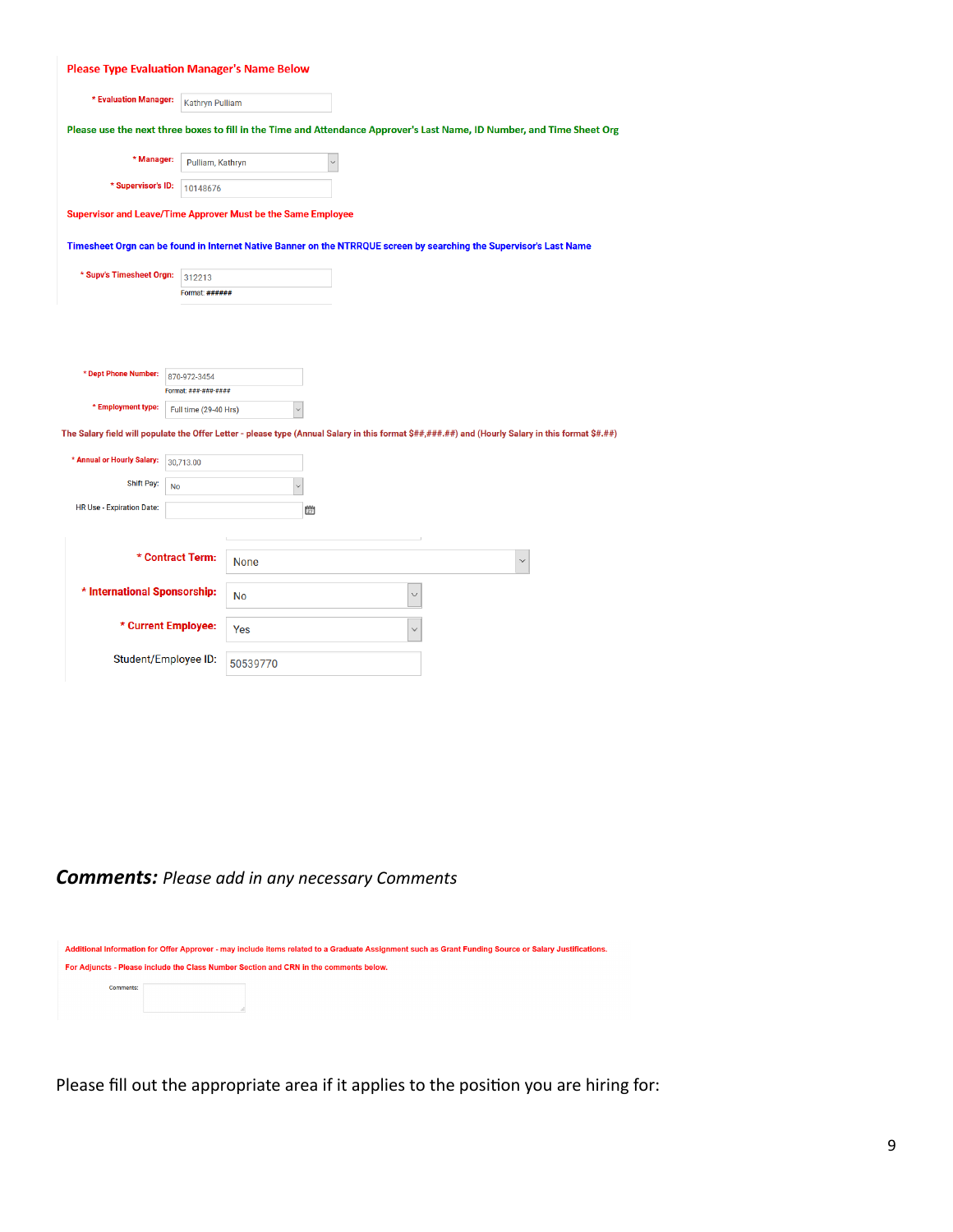| <b>Please Type Evaluation Manager's Name Below</b>                                                                                                 |                                      |             |              |              |        |  |
|----------------------------------------------------------------------------------------------------------------------------------------------------|--------------------------------------|-------------|--------------|--------------|--------|--|
| * Evaluation Manager:                                                                                                                              | <b>Kathryn Pulliam</b>               |             |              |              |        |  |
| Please use the next three boxes to fill in the Time and Attendance Approver's Last Name, ID Number, and Time Sheet Org                             |                                      |             |              |              |        |  |
| * Manager:                                                                                                                                         | Pulliam, Kathryn                     |             | $\checkmark$ |              |        |  |
| * Supervisor's ID:                                                                                                                                 | 10148676                             |             |              |              |        |  |
| Supervisor and Leave/Time Approver Must be the Same Employee                                                                                       |                                      |             |              |              |        |  |
| Timesheet Orgn can be found in Internet Native Banner on the NTRRQUE screen by searching the Supervisor's Last Name                                |                                      |             |              |              |        |  |
| * Supv's Timesheet Orgn:                                                                                                                           | 312213                               |             |              |              |        |  |
|                                                                                                                                                    | Format: ######                       |             |              |              |        |  |
| * Dept Phone Number:                                                                                                                               | 870-972-3454<br>Format: ###-###-#### |             |              |              |        |  |
| * Employment type:                                                                                                                                 | Full time (29-40 Hrs)                |             | $\checkmark$ |              |        |  |
| The Salary field will populate the Offer Letter - please type (Annual Salary in this format \$##,###.##) and (Hourly Salary in this format \$#.##) |                                      |             |              |              |        |  |
| * Annual or Hourly Salary:                                                                                                                         | 30,713.00                            |             |              |              |        |  |
| Shift Pay:                                                                                                                                         | <b>No</b>                            |             | $\checkmark$ |              |        |  |
| HR Use - Expiration Date:                                                                                                                          |                                      |             | 瞥            |              |        |  |
|                                                                                                                                                    |                                      |             |              |              |        |  |
|                                                                                                                                                    | * Contract Term:                     | <b>None</b> |              |              | $\vee$ |  |
| * International Sponsorship:                                                                                                                       |                                      | No          |              | $\checkmark$ |        |  |
|                                                                                                                                                    | * Current Employee:                  | Yes         |              |              |        |  |
|                                                                                                                                                    | Student/Employee ID:                 | 50539770    |              |              |        |  |

## *Comments: Please add in any necessary Comments*

|                  | Additional Information for Offer Approver - may include items related to a Graduate Assignment such as Grant Funding Source or Salary Justifications. |
|------------------|-------------------------------------------------------------------------------------------------------------------------------------------------------|
|                  | For Adjuncts - Please include the Class Number Section and CRN in the comments below.                                                                 |
| <b>Comments:</b> |                                                                                                                                                       |
|                  |                                                                                                                                                       |

Please fill out the appropriate area if it applies to the position you are hiring for: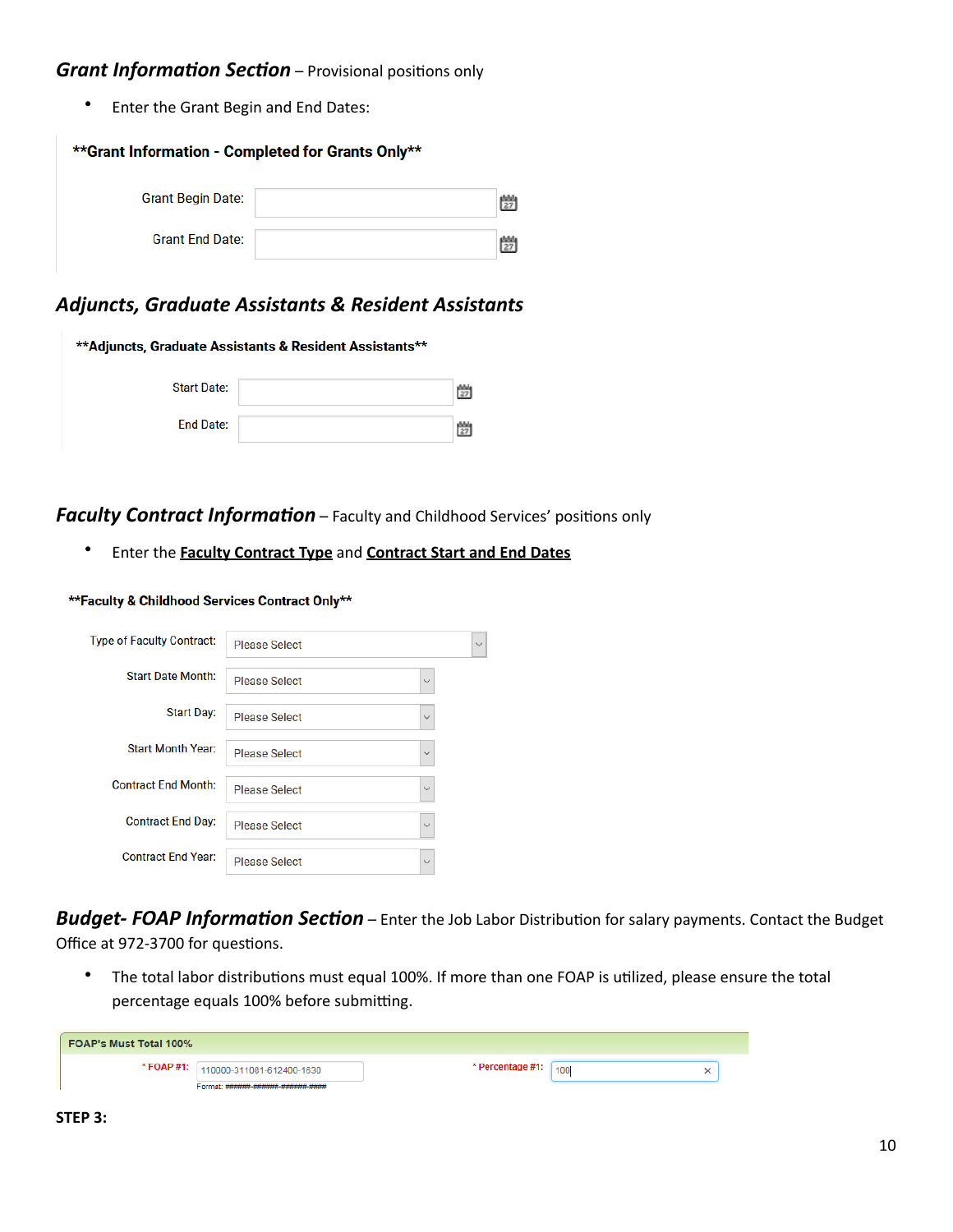#### *Grant Information Section* – Provisional positions only

Enter the Grant Begin and End Dates:

| **Grant Information - Completed for Grants Only** |  |   |  |  |  |
|---------------------------------------------------|--|---|--|--|--|
| <b>Grant Begin Date:</b>                          |  | 朆 |  |  |  |
| <b>Grant End Date:</b>                            |  | 鬱 |  |  |  |

#### Adjuncts, Graduate Assistants & Resident Assistants

| **Adjuncts, Graduate Assistants & Resident Assistants** |  |  |  |  |  |
|---------------------------------------------------------|--|--|--|--|--|
| <b>Start Date:</b>                                      |  |  |  |  |  |
| <b>End Date:</b>                                        |  |  |  |  |  |

#### **Faculty Contract Information** – Faculty and Childhood Services' positions only

**•** Enter the **Faculty Contract Type** and **Contract Start and End Dates** 

#### \*\*Faculty & Childhood Services Contract Only\*\*

| <b>Type of Faculty Contract:</b> | <b>Please Select</b>                 | $\checkmark$ |
|----------------------------------|--------------------------------------|--------------|
| <b>Start Date Month:</b>         | <b>Please Select</b><br>$\checkmark$ |              |
| <b>Start Day:</b>                | <b>Please Select</b><br>$\checkmark$ |              |
| <b>Start Month Year:</b>         | <b>Please Select</b><br>$\checkmark$ |              |
| <b>Contract End Month:</b>       | <b>Please Select</b><br>$\checkmark$ |              |
| <b>Contract End Day:</b>         | <b>Please Select</b><br>$\checkmark$ |              |
| <b>Contract End Year:</b>        | <b>Please Select</b><br>$\checkmark$ |              |

**Budget- FOAP Information Section** – Enter the Job Labor Distribution for salary payments. Contact the Budget Office at 972-3700 for questions.

• The total labor distributions must equal 100%. If more than one FOAP is utilized, please ensure the total percentage equals 100% before submitting.

| <b>FOAP's Must Total 100%</b> |                                      |                  |     |  |
|-------------------------------|--------------------------------------|------------------|-----|--|
|                               | * FOAP #1: 110000-311081-612400-1630 | * Percentage #1: | 100 |  |
|                               | Format: ######-###### ###### ####    |                  |     |  |